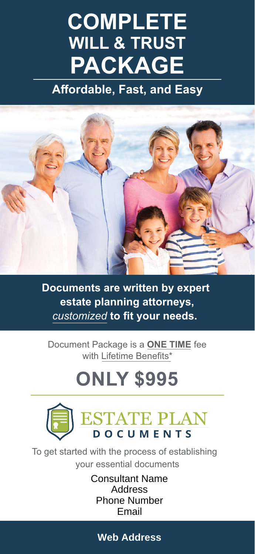# **COMPLETE WILL & TRUST PACKAGE**

**Affordable, Fast, and Easy**



**Documents are written by expert estate planning attorneys,** *customized* **to fit your needs.**

Document Package is a **ONE TIME** fee with Lifetime Benefits\*

## **ONLY \$995**



To get started with the process of establishing your essential documents

> Consultant Name **Address** Phone Number Email

#### **Web Address**